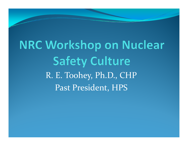**NRC Workshop on Nuclear Safety Culture** R. E. Toohey, Ph.D., CHP Past President, HPS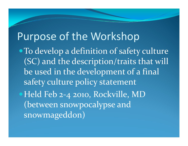# Purpose of the Workshop

**• To develop a definition of safety culture** (SC) and the description/traits that will be used in the development of <sup>a</sup> final a fina safety culture policy statement • Held Feb 2-4 2010, Rockville, MD (between snowpocalypse and snowmageddon)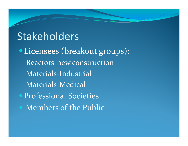# Stakeholders

• Licensees (breakout groups): Reactors-new constructionMaterials -Industrial Materials-Medical • Professional Societies Members of the Public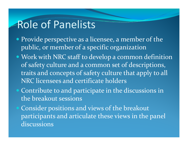### Role of Panelists

- Provide perspective as a licensee, a member of the public, or member of a specific organization
- Work with NRC staff to develop a common definition of safety culture and a common set of descriptions, traits and concepts of safety culture that apply to all NRC licensees and certificate holders
- $\bigodot$  Contribute to and participate in the discussions in the breakout sessions
- Consider positions and views of the breakout participants and articulate these views in the panel discussions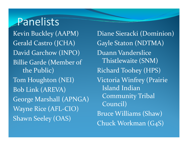## Panelists

Kevin Buckley (AAPM) Gerald Castro (JCHA) David Garchow (INPO) Billie Garde (Member of the Public ) Tom Houghton (NEI) Bob Link (AREVA) George Marshall (APNGA) Wayne Rice (AFL-CIO) Shawn Seeley (OAS)

Diane Sieracki (Dominion) Gayle Staton (NDTMA) Duann VandersliceThistlewaite (SNM) ) Richard Toohey (HPS) Victoria Winfrey (Prairie Island Indian Community Tribal Council) Bruce Williams (Shaw) Chuck Workman (G4S)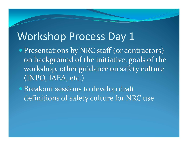### Workshop Process Day 1

- Presentations by NRC staff (or contractors) on background of the initiative, goals of the workshop, other guidance on safety culture (INPO, IAEA, etc.)
- Breakout sessions to develop draft definitions of safety culture for NRC use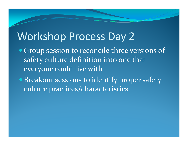# Workshop Process Day 2

- Group session to reconcile three versions of safety culture definition into one that ever yone could live with
- **Breakout sessions to identify proper safety** culture practices/characteristics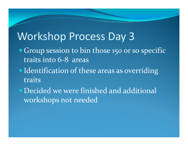# Workshop Process Day 3

- Group session to bin those 150 or so specific traits into 6-8 areas
- Identification of these areas as overriding traits
- Decided we were finished and additional workshops not needed